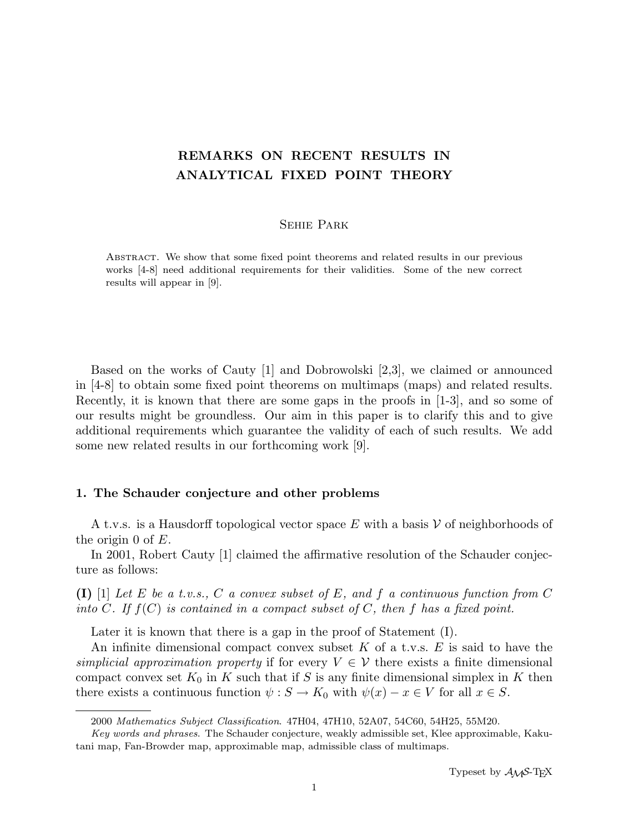# REMARKS ON RECENT RESULTS IN ANALYTICAL FIXED POINT THEORY

# Sehie Park

Abstract. We show that some fixed point theorems and related results in our previous works [4-8] need additional requirements for their validities. Some of the new correct results will appear in [9].

Based on the works of Cauty [1] and Dobrowolski [2,3], we claimed or announced in [4-8] to obtain some fixed point theorems on multimaps (maps) and related results. Recently, it is known that there are some gaps in the proofs in [1-3], and so some of our results might be groundless. Our aim in this paper is to clarify this and to give additional requirements which guarantee the validity of each of such results. We add some new related results in our forthcoming work [9].

## 1. The Schauder conjecture and other problems

A t.v.s. is a Hausdorff topological vector space E with a basis  $\mathcal V$  of neighborhoods of the origin 0 of  $E$ .

In 2001, Robert Cauty [1] claimed the affirmative resolution of the Schauder conjecture as follows:

(I) [1] Let E be a t.v.s., C a convex subset of E, and f a continuous function from C into C. If  $f(C)$  is contained in a compact subset of C, then f has a fixed point.

Later it is known that there is a gap in the proof of Statement (I).

An infinite dimensional compact convex subset K of a t.v.s.  $E$  is said to have the simplicial approximation property if for every  $V \in V$  there exists a finite dimensional compact convex set  $K_0$  in K such that if S is any finite dimensional simplex in K then there exists a continuous function  $\psi : S \to K_0$  with  $\psi(x) - x \in V$  for all  $x \in S$ .

<sup>2000</sup> Mathematics Subject Classification. 47H04, 47H10, 52A07, 54C60, 54H25, 55M20.

Key words and phrases. The Schauder conjecture, weakly admissible set, Klee approximable, Kakutani map, Fan-Browder map, approximable map, admissible class of multimaps.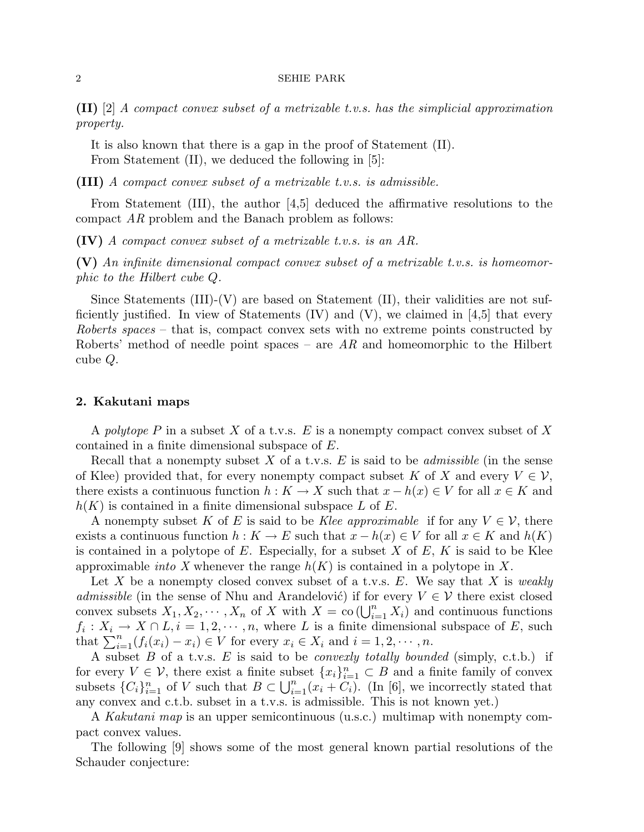$\textbf{(II)}$  [2] A compact convex subset of a metrizable t.v.s. has the simplicial approximation property.

It is also known that there is a gap in the proof of Statement (II). From Statement (II), we deduced the following in [5]:

(III) A compact convex subset of a metrizable t.v.s. is admissible.

From Statement (III), the author [4,5] deduced the affirmative resolutions to the compact AR problem and the Banach problem as follows:

(IV) A compact convex subset of a metrizable t.v.s. is an AR.

(V) An infinite dimensional compact convex subset of a metrizable t.v.s. is homeomorphic to the Hilbert cube Q.

Since Statements  $(III)-(V)$  are based on Statement  $(II)$ , their validities are not sufficiently justified. In view of Statements  $(V)$  and  $(V)$ , we claimed in [4,5] that every Roberts spaces – that is, compact convex sets with no extreme points constructed by Roberts' method of needle point spaces – are  $AR$  and homeomorphic to the Hilbert cube Q.

## 2. Kakutani maps

A polytope P in a subset X of a t.v.s. E is a nonempty compact convex subset of X contained in a finite dimensional subspace of E.

Recall that a nonempty subset X of a t.v.s.  $E$  is said to be *admissible* (in the sense of Klee) provided that, for every nonempty compact subset K of X and every  $V \in \mathcal{V}$ , there exists a continuous function  $h: K \to X$  such that  $x - h(x) \in V$  for all  $x \in K$  and  $h(K)$  is contained in a finite dimensional subspace L of E.

A nonempty subset K of E is said to be Klee approximable if for any  $V \in \mathcal{V}$ , there exists a continuous function  $h: K \to E$  such that  $x - h(x) \in V$  for all  $x \in K$  and  $h(K)$ is contained in a polytope of E. Especially, for a subset  $X$  of  $E$ ,  $K$  is said to be Klee approximable *into* X whenever the range  $h(K)$  is contained in a polytope in X.

Let X be a nonempty closed convex subset of a t.v.s. E. We say that X is weakly admissible (in the sense of Nhu and Arandelović) if for every  $V \in \mathcal{V}$  there exist closed damissione (in the sense of Nift and Arangelovic) if for every  $V \in V$  there exist closed<br>convex subsets  $X_1, X_2, \dots, X_n$  of X with  $X = co(\bigcup_{i=1}^n X_i)$  and continuous functions  $f_i: X_i \to X \cap L, i = 1, 2, \dots, n$ , where L is a finite dimensional subspace of E, such  $t_i: X_i \to X \sqcup L, i = 1, 2, \cdots, n$ , where L is a finite dimensional that  $\sum_{i=1}^n (f_i(x_i) - x_i) \in V$  for every  $x_i \in X_i$  and  $i = 1, 2, \cdots, n$ .

A subset  $B$  of a t.v.s.  $E$  is said to be *convexly totally bounded* (simply, c.t.b.) if for every  $V \in \mathcal{V}$ , there exist a finite subset  $\{x_i\}_{i=1}^n \subset B$  and a finite family of convex subsets  ${C_i}_{i=1}^n$  of V such that  $B \subset \bigcup_{i=1}^n (x_i + C_i)$ . (In [6], we incorrectly stated that any convex and c.t.b. subset in a t.v.s. is admissible. This is not known yet.)

A Kakutani map is an upper semicontinuous (u.s.c.) multimap with nonempty compact convex values.

The following [9] shows some of the most general known partial resolutions of the Schauder conjecture: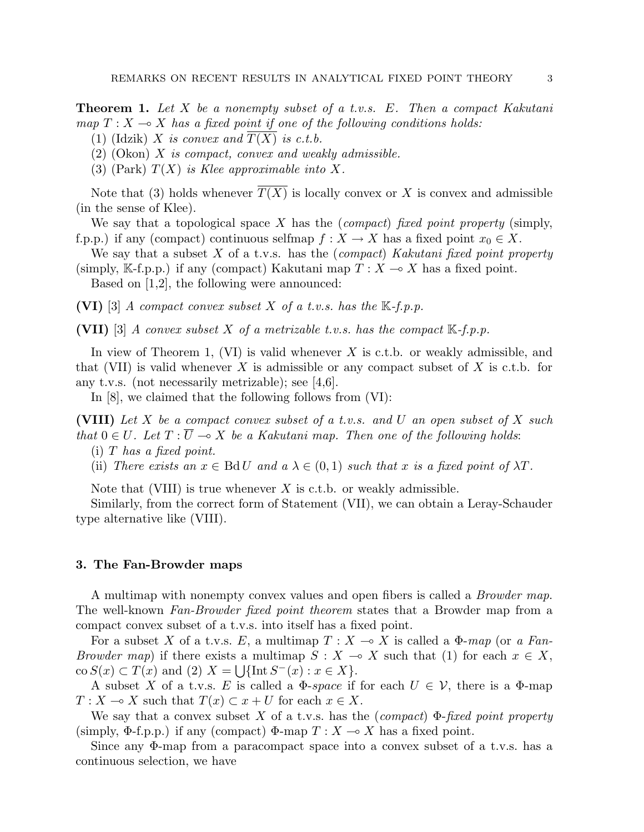**Theorem 1.** Let X be a nonempty subset of a t.v.s. E. Then a compact Kakutani map  $T : X \longrightarrow X$  has a fixed point if one of the following conditions holds:

(1) (Idzik) X is convex and  $T(\overline{X})$  is c.t.b.

 $(2)$  (Okon) X is compact, convex and weakly admissible.

(3) (Park)  $T(X)$  is Klee approximable into X.

Note that (3) holds whenever  $\overline{T(X)}$  is locally convex or X is convex and admissible (in the sense of Klee).

We say that a topological space X has the *(compact)* fixed point property (simply, f.p.p.) if any (compact) continuous selfmap  $f : X \to X$  has a fixed point  $x_0 \in X$ .

We say that a subset  $X$  of a t.v.s. has the (compact) Kakutani fixed point property (simply, K-f.p.p.) if any (compact) Kakutani map  $T : X \longrightarrow X$  has a fixed point.

Based on [1,2], the following were announced:

(VI) [3] A compact convex subset X of a t.v.s. has the  $\mathbb{K}\text{-}f.p.p.$ 

(VII) [3] A convex subset X of a metrizable t.v.s. has the compact  $\mathbb{K}\text{-}f$ .p.p.

In view of Theorem 1, (VI) is valid whenever  $X$  is c.t.b. or weakly admissible, and that (VII) is valid whenever X is admissible or any compact subset of X is c.t.b. for any t.v.s. (not necessarily metrizable); see [4,6].

In [8], we claimed that the following follows from (VI):

(VIII) Let X be a compact convex subset of a t.v.s. and U an open subset of X such that  $0 \in U$ . Let  $T : \overline{U} \multimap X$  be a Kakutani map. Then one of the following holds:

(i)  $T$  has a fixed point.

(ii) There exists an  $x \in \text{Bd} U$  and  $a \lambda \in (0,1)$  such that x is a fixed point of  $\lambda T$ .

Note that (VIII) is true whenever  $X$  is c.t.b. or weakly admissible.

Similarly, from the correct form of Statement (VII), we can obtain a Leray-Schauder type alternative like (VIII).

# 3. The Fan-Browder maps

A multimap with nonempty convex values and open fibers is called a Browder map. The well-known Fan-Browder fixed point theorem states that a Browder map from a compact convex subset of a t.v.s. into itself has a fixed point.

For a subset X of a t.v.s. E, a multimap  $T : X \to X$  is called a  $\Phi$ -map (or a Fan-Browder map) if there exists a multimap  $S : X \to X$  such that (1) for each  $x \in X$ ,  $\cos S(x) \subset T(x)$  and (2)  $X = \bigcup \{ \text{Int } S^{-}(x) : x \in X \}.$ 

A subset X of a t.v.s. E is called a  $\Phi$ -space if for each  $U \in \mathcal{V}$ , there is a  $\Phi$ -map  $T: X \longrightarrow X$  such that  $T(x) \subset x + U$  for each  $x \in X$ .

We say that a convex subset X of a t.v.s. has the (compact)  $\Phi$ -fixed point property (simply,  $\Phi$ -f.p.p.) if any (compact)  $\Phi$ -map  $T : X \to X$  has a fixed point.

Since any Φ-map from a paracompact space into a convex subset of a t.v.s. has a continuous selection, we have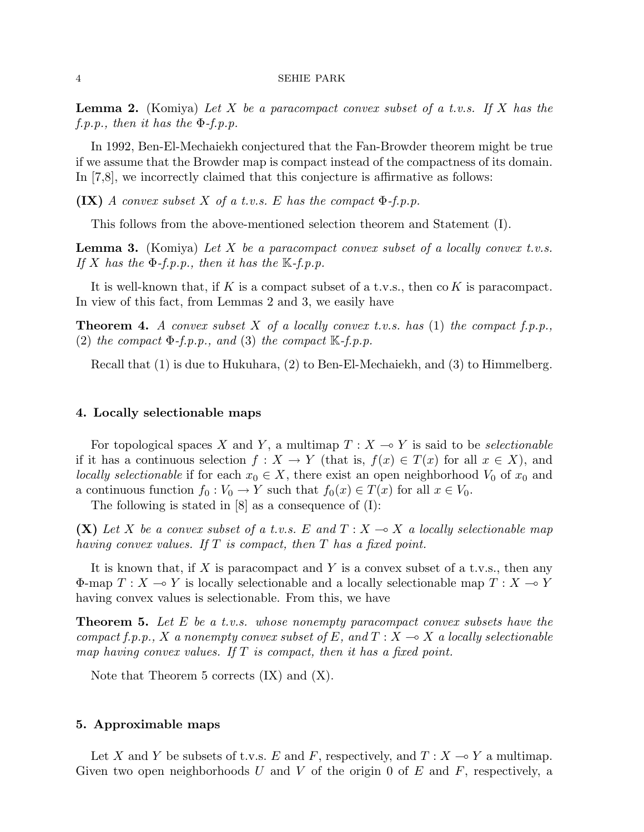**Lemma 2.** (Komiya) Let X be a paracompact convex subset of a t.v.s. If X has the  $f.p.p., then it has the \Phi-f.p.p.$ 

In 1992, Ben-El-Mechaiekh conjectured that the Fan-Browder theorem might be true if we assume that the Browder map is compact instead of the compactness of its domain. In [7,8], we incorrectly claimed that this conjecture is affirmative as follows:

 $\left($ IX) A convex subset X of a t.v.s. E has the compact  $\Phi$ -f.p.p.

This follows from the above-mentioned selection theorem and Statement (I).

**Lemma 3.** (Komiya) Let X be a paracompact convex subset of a locally convex t.v.s. If X has the  $\Phi$ -f.p.p., then it has the  $\mathbb{K}$ -f.p.p.

It is well-known that, if K is a compact subset of a t.v.s., then  $\alpha K$  is paracompact. In view of this fact, from Lemmas 2 and 3, we easily have

**Theorem 4.** A convex subset X of a locally convex t.v.s. has (1) the compact f.p.p., (2) the compact  $\Phi$ -f.p.p., and (3) the compact  $\mathbb{K}$ -f.p.p.

Recall that (1) is due to Hukuhara, (2) to Ben-El-Mechaiekh, and (3) to Himmelberg.

#### 4. Locally selectionable maps

For topological spaces X and Y, a multimap  $T : X \rightarrow Y$  is said to be selectionable if it has a continuous selection  $f: X \to Y$  (that is,  $f(x) \in T(x)$  for all  $x \in X$ ), and locally selectionable if for each  $x_0 \in X$ , there exist an open neighborhood  $V_0$  of  $x_0$  and a continuous function  $f_0 : V_0 \to Y$  such that  $f_0(x) \in T(x)$  for all  $x \in V_0$ .

The following is stated in [8] as a consequence of (I):

(X) Let X be a convex subset of a t.v.s. E and  $T : X \to X$  a locally selectionable map having convex values. If  $T$  is compact, then  $T$  has a fixed point.

It is known that, if X is paracompact and Y is a convex subset of a t.v.s., then any  $\Phi$ -map  $T : X \to Y$  is locally selectionable and a locally selectionable map  $T : X \to Y$ having convex values is selectionable. From this, we have

**Theorem 5.** Let E be a t.v.s. whose nonempty paracompact convex subsets have the compact f.p.p., X a nonempty convex subset of E, and  $T : X \rightarrow X$  a locally selectionable map having convex values. If  $T$  is compact, then it has a fixed point.

Note that Theorem 5 corrects (IX) and (X).

# 5. Approximable maps

Let X and Y be subsets of t.v.s. E and F, respectively, and  $T : X \longrightarrow Y$  a multimap. Given two open neighborhoods U and V of the origin 0 of E and F, respectively, a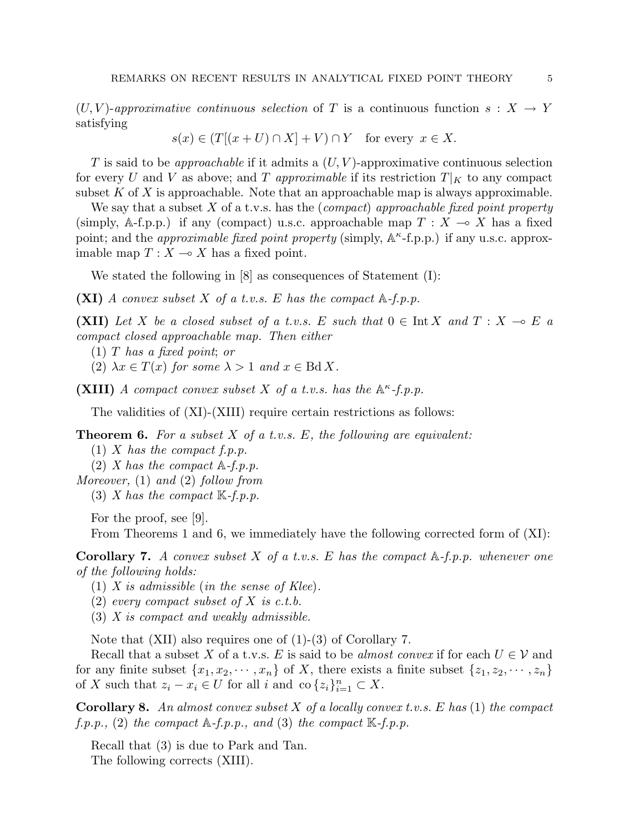$(U, V)$ -approximative continuous selection of T is a continuous function  $s: X \to Y$ satisfying

$$
s(x) \in (T[(x+U) \cap X] + V) \cap Y \quad \text{for every } x \in X.
$$

T is said to be *approachable* if it admits a  $(U, V)$ -approximative continuous selection for every U and V as above; and T approximable if its restriction  $T|_K$  to any compact subset  $K$  of  $X$  is approachable. Note that an approachable map is always approximable.

We say that a subset X of a t.v.s. has the (compact) approachable fixed point property (simply, A-f.p.p.) if any (compact) u.s.c. approachable map  $T : X \to X$  has a fixed point; and the *approximable fixed point property* (simply,  $\mathbb{A}^{\kappa}$ -f.p.p.) if any u.s.c. approximable map  $T : X \longrightarrow X$  has a fixed point.

We stated the following in [8] as consequences of Statement (I):

(XI) A convex subset X of a t.v.s. E has the compact  $A-f.p.p.$ 

(XII) Let X be a closed subset of a t.v.s. E such that  $0 \in \text{Int } X$  and  $T : X \multimap E$  a compact closed approachable map. Then either

(1) T has a fixed point; or

(2)  $\lambda x \in T(x)$  for some  $\lambda > 1$  and  $x \in \text{Bd } X$ .

(XIII) A compact convex subset X of a t.v.s. has the  $A^{\kappa}$ -f.p.p.

The validities of (XI)-(XIII) require certain restrictions as follows:

**Theorem 6.** For a subset  $X$  of a t.v.s. E, the following are equivalent:

- (1) X has the compact  $f.p.p.$
- (2) X has the compact  $\mathbb{A}-f$ .p.p.

Moreover, (1) and (2) follow from

(3) X has the compact  $\mathbb{K}\text{-}f$ .p.p.

For the proof, see [9].

From Theorems 1 and 6, we immediately have the following corrected form of (XI):

**Corollary 7.** A convex subset X of a t.v.s. E has the compact  $A$ -f.p.p. whenever one of the following holds:

- (1) X is admissible (in the sense of Klee).
- (2) every compact subset of X is c.t.b.
- (3) X is compact and weakly admissible.

Note that (XII) also requires one of (1)-(3) of Corollary 7.

Recall that a subset X of a t.v.s. E is said to be almost convex if for each  $U \in V$  and for any finite subset  $\{x_1, x_2, \dots, x_n\}$  of X, there exists a finite subset  $\{z_1, z_2, \dots, z_n\}$ of X such that  $z_i - x_i \in U$  for all i and co  $\{z_i\}_{i=1}^n \subset X$ .

**Corollary 8.** An almost convex subset X of a locally convex t.v.s. E has  $(1)$  the compact  $f.p.p., (2)$  the compact  $A-f.p.p., and (3)$  the compact  $K-f.p.p.$ 

Recall that (3) is due to Park and Tan. The following corrects (XIII).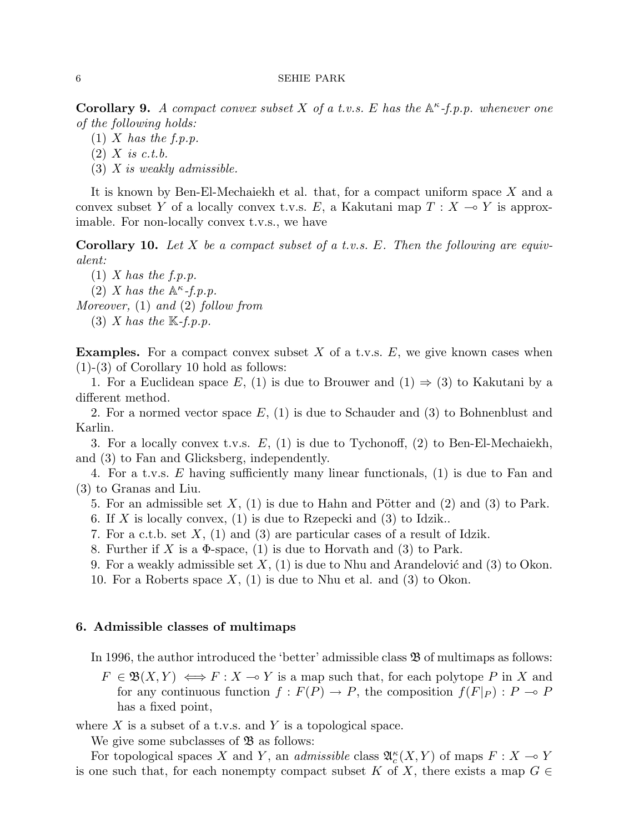**Corollary 9.** A compact convex subset X of a t.v.s. E has the  $A^{\kappa}$ -f.p.p. whenever one of the following holds:

- $(1)$  X has the f.p.p.
- $(2)$  X is c.t.b.
- $(3)$  X is weakly admissible.

It is known by Ben-El-Mechaiekh et al. that, for a compact uniform space X and a convex subset Y of a locally convex t.v.s. E, a Kakutani map  $T : X \rightarrow Y$  is approximable. For non-locally convex t.v.s., we have

**Corollary 10.** Let X be a compact subset of a t.v.s. E. Then the following are equivalent:

 $(1)$  X has the f.p.p. (2) X has the  $\mathbb{A}^{\kappa}$ -f.p.p. Moreover, (1) and (2) follow from (3) X has the  $\mathbb{K}\text{-}f.p.p.$ 

**Examples.** For a compact convex subset X of a t.v.s.  $E$ , we give known cases when (1)-(3) of Corollary 10 hold as follows:

1. For a Euclidean space E, (1) is due to Brouwer and (1)  $\Rightarrow$  (3) to Kakutani by a different method.

2. For a normed vector space  $E$ , (1) is due to Schauder and (3) to Bohnenblust and Karlin.

3. For a locally convex t.v.s.  $E$ , (1) is due to Tychonoff, (2) to Ben-El-Mechaiekh, and (3) to Fan and Glicksberg, independently.

4. For a t.v.s. E having sufficiently many linear functionals, (1) is due to Fan and (3) to Granas and Liu.

- 5. For an admissible set  $X$ , (1) is due to Hahn and Pötter and (2) and (3) to Park.
- 6. If X is locally convex,  $(1)$  is due to Rzepecki and  $(3)$  to Idzik..
- 7. For a c.t.b. set  $X$ , (1) and (3) are particular cases of a result of Idzik.
- 8. Further if X is a  $\Phi$ -space, (1) is due to Horvath and (3) to Park.
- 9. For a weakly admissible set  $X$ , (1) is due to Nhu and Arandelović and (3) to Okon.
- 10. For a Roberts space  $X$ , (1) is due to Nhu et al. and (3) to Okon.

## 6. Admissible classes of multimaps

In 1996, the author introduced the 'better' admissible class  $\mathfrak{B}$  of multimaps as follows:

 $F \in \mathfrak{B}(X,Y) \iff F : X \multimap Y$  is a map such that, for each polytope P in X and for any continuous function  $f : F(P) \to P$ , the composition  $f(F|_P) : P \to P$ has a fixed point,

where X is a subset of a t.v.s. and Y is a topological space.

We give some subclasses of  $\mathfrak{B}$  as follows:

For topological spaces X and Y, an *admissible* class  $\mathfrak{A}_{c}^{\kappa}(X, Y)$  of maps  $F : X \to Y$ is one such that, for each nonempty compact subset K of X, there exists a map  $G \in$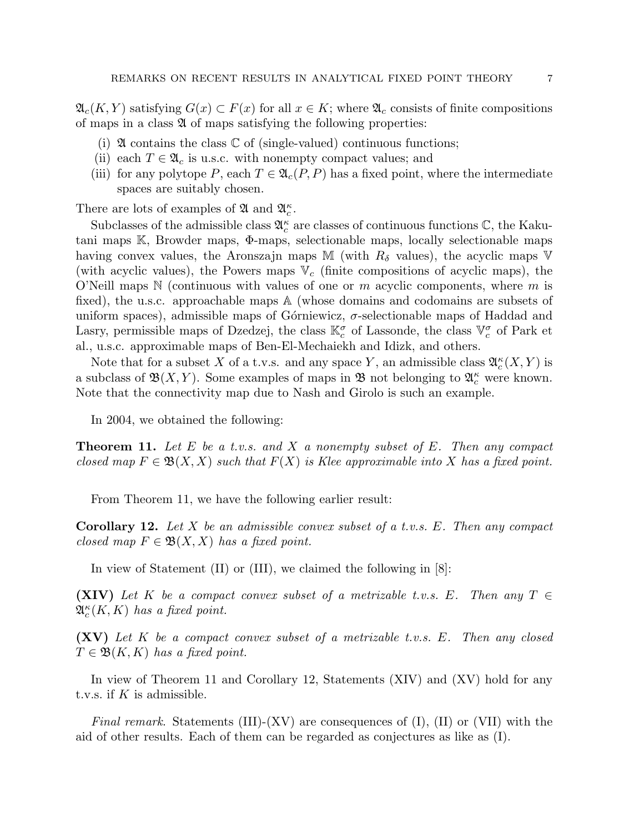$\mathfrak{A}_c(K,Y)$  satisfying  $G(x) \subset F(x)$  for all  $x \in K$ ; where  $\mathfrak{A}_c$  consists of finite compositions of maps in a class  $\mathfrak A$  of maps satisfying the following properties:

- (i)  $\mathfrak A$  contains the class  $\mathbb C$  of (single-valued) continuous functions;
- (ii) each  $T \in \mathfrak{A}_c$  is u.s.c. with nonempty compact values; and
- (iii) for any polytope P, each  $T \in \mathfrak{A}_{c}(P, P)$  has a fixed point, where the intermediate spaces are suitably chosen.

There are lots of examples of  $\mathfrak A$  and  $\mathfrak A_c^{\kappa}$ .

Subclasses of the admissible class  $\mathfrak{A}_c^{\kappa}$  are classes of continuous functions  $\mathbb{C}$ , the Kakutani maps K, Browder maps, Φ-maps, selectionable maps, locally selectionable maps having convex values, the Aronszajn maps M (with  $R_{\delta}$  values), the acyclic maps V (with acyclic values), the Powers maps  $V_c$  (finite compositions of acyclic maps), the O'Neill maps  $\mathbb N$  (continuous with values of one or m acyclic components, where m is fixed), the u.s.c. approachable maps A (whose domains and codomains are subsets of uniform spaces), admissible maps of Górniewicz,  $\sigma$ -selectionable maps of Haddad and Lasry, permissible maps of Dzedzej, the class  $\mathbb{K}_{c}^{\sigma}$  of Lassonde, the class  $\mathbb{V}_{c}^{\sigma}$  of Park et al., u.s.c. approximable maps of Ben-El-Mechaiekh and Idizk, and others.

Note that for a subset X of a t.v.s. and any space Y, an admissible class  $\mathfrak{A}_{c}^{\kappa}(X, Y)$  is a subclass of  $\mathfrak{B}(X,Y)$ . Some examples of maps in  $\mathfrak{B}$  not belonging to  $\mathfrak{A}_{c}^{\kappa}$  were known. Note that the connectivity map due to Nash and Girolo is such an example.

In 2004, we obtained the following:

**Theorem 11.** Let E be a t.v.s. and X a nonempty subset of E. Then any compact closed map  $F \in \mathfrak{B}(X,X)$  such that  $F(X)$  is Klee approximable into X has a fixed point.

From Theorem 11, we have the following earlier result:

**Corollary 12.** Let X be an admissible convex subset of a t.v.s. E. Then any compact closed map  $F \in \mathfrak{B}(X,X)$  has a fixed point.

In view of Statement (II) or (III), we claimed the following in [8]:

(XIV) Let K be a compact convex subset of a metrizable t.v.s. E. Then any  $T \in$  $\mathfrak{A}^\kappa_c(K,K)$  has a fixed point.

 $(XV)$  Let K be a compact convex subset of a metrizable t.v.s. E. Then any closed  $T \in \mathfrak{B}(K,K)$  has a fixed point.

In view of Theorem 11 and Corollary 12, Statements (XIV) and (XV) hold for any t.v.s. if  $K$  is admissible.

Final remark. Statements (III)-(XV) are consequences of (I), (II) or (VII) with the aid of other results. Each of them can be regarded as conjectures as like as (I).